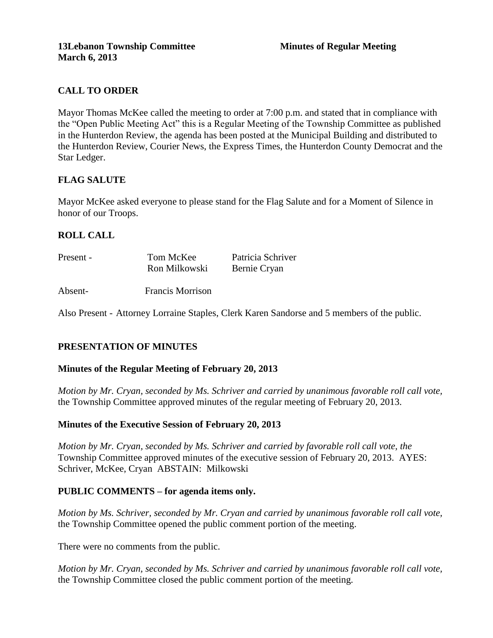# **CALL TO ORDER**

Mayor Thomas McKee called the meeting to order at 7:00 p.m. and stated that in compliance with the "Open Public Meeting Act" this is a Regular Meeting of the Township Committee as published in the Hunterdon Review, the agenda has been posted at the Municipal Building and distributed to the Hunterdon Review, Courier News, the Express Times, the Hunterdon County Democrat and the Star Ledger.

## **FLAG SALUTE**

Mayor McKee asked everyone to please stand for the Flag Salute and for a Moment of Silence in honor of our Troops.

# **ROLL CALL**

| Present - | Tom McKee     | Patricia Schriver |
|-----------|---------------|-------------------|
|           | Ron Milkowski | Bernie Cryan      |
|           |               |                   |

Absent- Francis Morrison

Also Present - Attorney Lorraine Staples, Clerk Karen Sandorse and 5 members of the public.

## **PRESENTATION OF MINUTES**

## **Minutes of the Regular Meeting of February 20, 2013**

*Motion by Mr. Cryan, seconded by Ms. Schriver and carried by unanimous favorable roll call vote,* the Township Committee approved minutes of the regular meeting of February 20, 2013.

## **Minutes of the Executive Session of February 20, 2013**

*Motion by Mr. Cryan, seconded by Ms. Schriver and carried by favorable roll call vote, the*  Township Committee approved minutes of the executive session of February 20, 2013. AYES: Schriver, McKee, Cryan ABSTAIN: Milkowski

## **PUBLIC COMMENTS – for agenda items only.**

*Motion by Ms. Schriver, seconded by Mr. Cryan and carried by unanimous favorable roll call vote,* the Township Committee opened the public comment portion of the meeting.

There were no comments from the public.

*Motion by Mr. Cryan, seconded by Ms. Schriver and carried by unanimous favorable roll call vote,* the Township Committee closed the public comment portion of the meeting.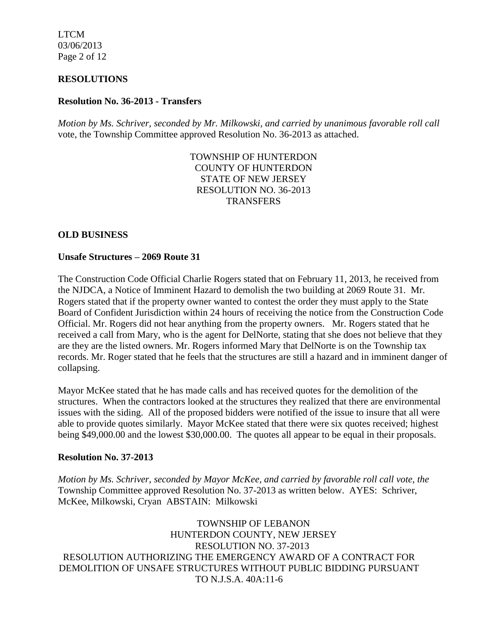LTCM 03/06/2013 Page 2 of 12

#### **RESOLUTIONS**

## **Resolution No. 36-2013 - Transfers**

*Motion by Ms. Schriver, seconded by Mr. Milkowski, and carried by unanimous favorable roll call*  vote, the Township Committee approved Resolution No. 36-2013 as attached.

> TOWNSHIP OF HUNTERDON COUNTY OF HUNTERDON STATE OF NEW JERSEY RESOLUTION NO. 36-2013 **TRANSFERS**

#### **OLD BUSINESS**

#### **Unsafe Structures – 2069 Route 31**

The Construction Code Official Charlie Rogers stated that on February 11, 2013, he received from the NJDCA, a Notice of Imminent Hazard to demolish the two building at 2069 Route 31. Mr. Rogers stated that if the property owner wanted to contest the order they must apply to the State Board of Confident Jurisdiction within 24 hours of receiving the notice from the Construction Code Official. Mr. Rogers did not hear anything from the property owners. Mr. Rogers stated that he received a call from Mary, who is the agent for DelNorte, stating that she does not believe that they are they are the listed owners. Mr. Rogers informed Mary that DelNorte is on the Township tax records. Mr. Roger stated that he feels that the structures are still a hazard and in imminent danger of collapsing.

Mayor McKee stated that he has made calls and has received quotes for the demolition of the structures. When the contractors looked at the structures they realized that there are environmental issues with the siding. All of the proposed bidders were notified of the issue to insure that all were able to provide quotes similarly. Mayor McKee stated that there were six quotes received; highest being \$49,000.00 and the lowest \$30,000.00. The quotes all appear to be equal in their proposals.

#### **Resolution No. 37-2013**

*Motion by Ms. Schriver, seconded by Mayor McKee, and carried by favorable roll call vote, the* Township Committee approved Resolution No. 37-2013 as written below. AYES: Schriver, McKee, Milkowski, Cryan ABSTAIN: Milkowski

TOWNSHIP OF LEBANON HUNTERDON COUNTY, NEW JERSEY RESOLUTION NO. 37-2013 RESOLUTION AUTHORIZING THE EMERGENCY AWARD OF A CONTRACT FOR DEMOLITION OF UNSAFE STRUCTURES WITHOUT PUBLIC BIDDING PURSUANT TO N.J.S.A. 40A:11-6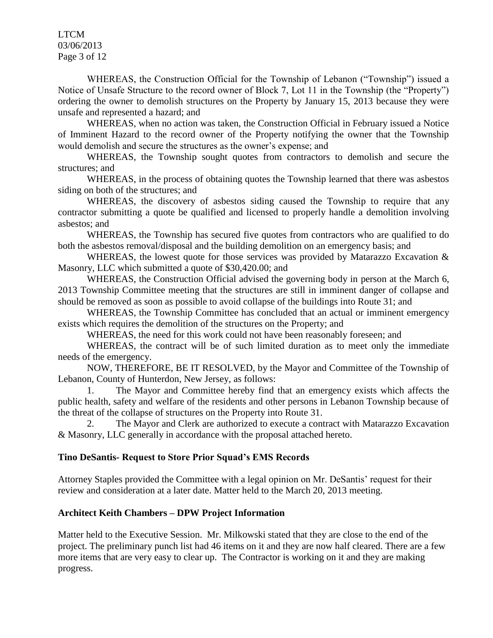LTCM 03/06/2013 Page 3 of 12

WHEREAS, the Construction Official for the Township of Lebanon ("Township") issued a Notice of Unsafe Structure to the record owner of Block 7, Lot 11 in the Township (the "Property") ordering the owner to demolish structures on the Property by January 15, 2013 because they were unsafe and represented a hazard; and

WHEREAS, when no action was taken, the Construction Official in February issued a Notice of Imminent Hazard to the record owner of the Property notifying the owner that the Township would demolish and secure the structures as the owner's expense; and

WHEREAS, the Township sought quotes from contractors to demolish and secure the structures; and

WHEREAS, in the process of obtaining quotes the Township learned that there was asbestos siding on both of the structures; and

WHEREAS, the discovery of asbestos siding caused the Township to require that any contractor submitting a quote be qualified and licensed to properly handle a demolition involving asbestos; and

WHEREAS, the Township has secured five quotes from contractors who are qualified to do both the asbestos removal/disposal and the building demolition on an emergency basis; and

WHEREAS, the lowest quote for those services was provided by Matarazzo Excavation & Masonry, LLC which submitted a quote of \$30,420.00; and

WHEREAS, the Construction Official advised the governing body in person at the March 6, 2013 Township Committee meeting that the structures are still in imminent danger of collapse and should be removed as soon as possible to avoid collapse of the buildings into Route 31; and

WHEREAS, the Township Committee has concluded that an actual or imminent emergency exists which requires the demolition of the structures on the Property; and

WHEREAS, the need for this work could not have been reasonably foreseen; and

WHEREAS, the contract will be of such limited duration as to meet only the immediate needs of the emergency.

NOW, THEREFORE, BE IT RESOLVED, by the Mayor and Committee of the Township of Lebanon, County of Hunterdon, New Jersey, as follows:

1. The Mayor and Committee hereby find that an emergency exists which affects the public health, safety and welfare of the residents and other persons in Lebanon Township because of the threat of the collapse of structures on the Property into Route 31.

2. The Mayor and Clerk are authorized to execute a contract with Matarazzo Excavation & Masonry, LLC generally in accordance with the proposal attached hereto.

## **Tino DeSantis- Request to Store Prior Squad's EMS Records**

Attorney Staples provided the Committee with a legal opinion on Mr. DeSantis' request for their review and consideration at a later date. Matter held to the March 20, 2013 meeting.

### **Architect Keith Chambers – DPW Project Information**

Matter held to the Executive Session. Mr. Milkowski stated that they are close to the end of the project. The preliminary punch list had 46 items on it and they are now half cleared. There are a few more items that are very easy to clear up. The Contractor is working on it and they are making progress.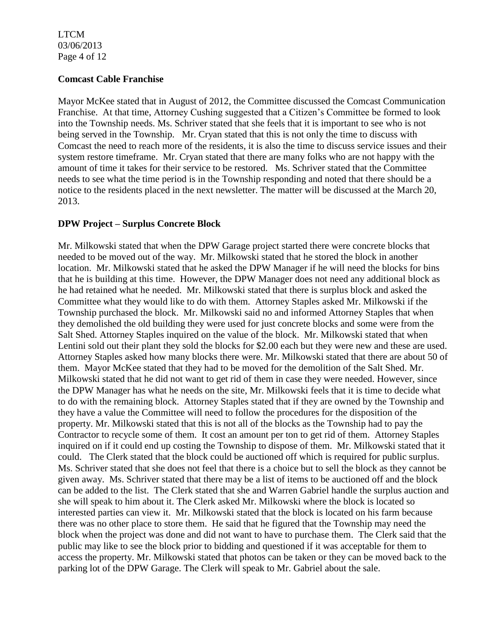LTCM 03/06/2013 Page 4 of 12

### **Comcast Cable Franchise**

Mayor McKee stated that in August of 2012, the Committee discussed the Comcast Communication Franchise. At that time, Attorney Cushing suggested that a Citizen's Committee be formed to look into the Township needs. Ms. Schriver stated that she feels that it is important to see who is not being served in the Township. Mr. Cryan stated that this is not only the time to discuss with Comcast the need to reach more of the residents, it is also the time to discuss service issues and their system restore timeframe. Mr. Cryan stated that there are many folks who are not happy with the amount of time it takes for their service to be restored. Ms. Schriver stated that the Committee needs to see what the time period is in the Township responding and noted that there should be a notice to the residents placed in the next newsletter. The matter will be discussed at the March 20, 2013.

### **DPW Project – Surplus Concrete Block**

Mr. Milkowski stated that when the DPW Garage project started there were concrete blocks that needed to be moved out of the way. Mr. Milkowski stated that he stored the block in another location. Mr. Milkowski stated that he asked the DPW Manager if he will need the blocks for bins that he is building at this time. However, the DPW Manager does not need any additional block as he had retained what he needed. Mr. Milkowski stated that there is surplus block and asked the Committee what they would like to do with them. Attorney Staples asked Mr. Milkowski if the Township purchased the block. Mr. Milkowski said no and informed Attorney Staples that when they demolished the old building they were used for just concrete blocks and some were from the Salt Shed. Attorney Staples inquired on the value of the block. Mr. Milkowski stated that when Lentini sold out their plant they sold the blocks for \$2.00 each but they were new and these are used. Attorney Staples asked how many blocks there were. Mr. Milkowski stated that there are about 50 of them. Mayor McKee stated that they had to be moved for the demolition of the Salt Shed. Mr. Milkowski stated that he did not want to get rid of them in case they were needed. However, since the DPW Manager has what he needs on the site, Mr. Milkowski feels that it is time to decide what to do with the remaining block. Attorney Staples stated that if they are owned by the Township and they have a value the Committee will need to follow the procedures for the disposition of the property. Mr. Milkowski stated that this is not all of the blocks as the Township had to pay the Contractor to recycle some of them. It cost an amount per ton to get rid of them. Attorney Staples inquired on if it could end up costing the Township to dispose of them. Mr. Milkowski stated that it could. The Clerk stated that the block could be auctioned off which is required for public surplus. Ms. Schriver stated that she does not feel that there is a choice but to sell the block as they cannot be given away. Ms. Schriver stated that there may be a list of items to be auctioned off and the block can be added to the list. The Clerk stated that she and Warren Gabriel handle the surplus auction and she will speak to him about it. The Clerk asked Mr. Milkowski where the block is located so interested parties can view it. Mr. Milkowski stated that the block is located on his farm because there was no other place to store them. He said that he figured that the Township may need the block when the project was done and did not want to have to purchase them. The Clerk said that the public may like to see the block prior to bidding and questioned if it was acceptable for them to access the property. Mr. Milkowski stated that photos can be taken or they can be moved back to the parking lot of the DPW Garage. The Clerk will speak to Mr. Gabriel about the sale.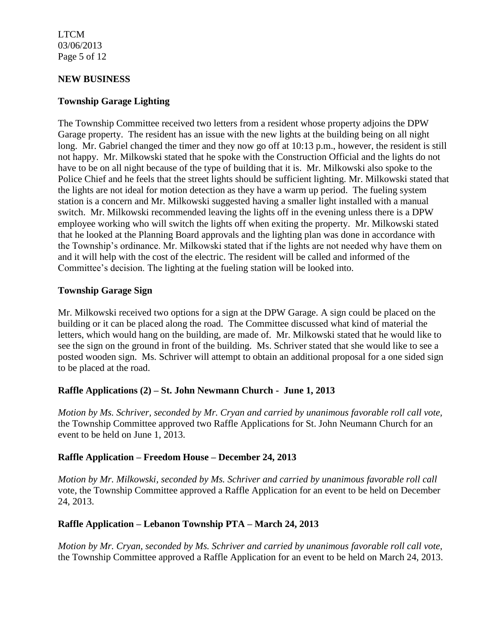LTCM 03/06/2013 Page 5 of 12

### **NEW BUSINESS**

#### **Township Garage Lighting**

The Township Committee received two letters from a resident whose property adjoins the DPW Garage property. The resident has an issue with the new lights at the building being on all night long. Mr. Gabriel changed the timer and they now go off at 10:13 p.m., however, the resident is still not happy. Mr. Milkowski stated that he spoke with the Construction Official and the lights do not have to be on all night because of the type of building that it is. Mr. Milkowski also spoke to the Police Chief and he feels that the street lights should be sufficient lighting. Mr. Milkowski stated that the lights are not ideal for motion detection as they have a warm up period. The fueling system station is a concern and Mr. Milkowski suggested having a smaller light installed with a manual switch. Mr. Milkowski recommended leaving the lights off in the evening unless there is a DPW employee working who will switch the lights off when exiting the property. Mr. Milkowski stated that he looked at the Planning Board approvals and the lighting plan was done in accordance with the Township's ordinance. Mr. Milkowski stated that if the lights are not needed why have them on and it will help with the cost of the electric. The resident will be called and informed of the Committee's decision. The lighting at the fueling station will be looked into.

#### **Township Garage Sign**

Mr. Milkowski received two options for a sign at the DPW Garage. A sign could be placed on the building or it can be placed along the road. The Committee discussed what kind of material the letters, which would hang on the building, are made of. Mr. Milkowski stated that he would like to see the sign on the ground in front of the building. Ms. Schriver stated that she would like to see a posted wooden sign. Ms. Schriver will attempt to obtain an additional proposal for a one sided sign to be placed at the road.

### **Raffle Applications (2) – St. John Newmann Church - June 1, 2013**

*Motion by Ms. Schriver, seconded by Mr. Cryan and carried by unanimous favorable roll call vote,* the Township Committee approved two Raffle Applications for St. John Neumann Church for an event to be held on June 1, 2013.

#### **Raffle Application – Freedom House – December 24, 2013**

*Motion by Mr. Milkowski, seconded by Ms. Schriver and carried by unanimous favorable roll call*  vote, the Township Committee approved a Raffle Application for an event to be held on December 24, 2013.

### **Raffle Application – Lebanon Township PTA – March 24, 2013**

*Motion by Mr. Cryan, seconded by Ms. Schriver and carried by unanimous favorable roll call vote,* the Township Committee approved a Raffle Application for an event to be held on March 24, 2013.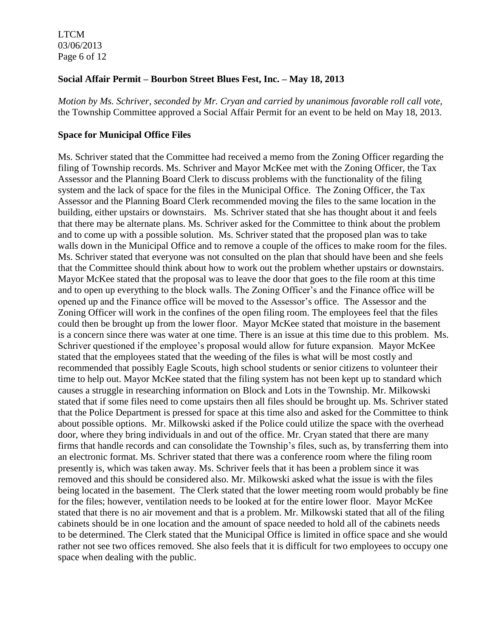LTCM 03/06/2013 Page 6 of 12

### **Social Affair Permit – Bourbon Street Blues Fest, Inc. – May 18, 2013**

*Motion by Ms. Schriver, seconded by Mr. Cryan and carried by unanimous favorable roll call vote,* the Township Committee approved a Social Affair Permit for an event to be held on May 18, 2013.

#### **Space for Municipal Office Files**

Ms. Schriver stated that the Committee had received a memo from the Zoning Officer regarding the filing of Township records. Ms. Schriver and Mayor McKee met with the Zoning Officer, the Tax Assessor and the Planning Board Clerk to discuss problems with the functionality of the filing system and the lack of space for the files in the Municipal Office. The Zoning Officer, the Tax Assessor and the Planning Board Clerk recommended moving the files to the same location in the building, either upstairs or downstairs. Ms. Schriver stated that she has thought about it and feels that there may be alternate plans. Ms. Schriver asked for the Committee to think about the problem and to come up with a possible solution. Ms. Schriver stated that the proposed plan was to take walls down in the Municipal Office and to remove a couple of the offices to make room for the files. Ms. Schriver stated that everyone was not consulted on the plan that should have been and she feels that the Committee should think about how to work out the problem whether upstairs or downstairs. Mayor McKee stated that the proposal was to leave the door that goes to the file room at this time and to open up everything to the block walls. The Zoning Officer's and the Finance office will be opened up and the Finance office will be moved to the Assessor's office. The Assessor and the Zoning Officer will work in the confines of the open filing room. The employees feel that the files could then be brought up from the lower floor. Mayor McKee stated that moisture in the basement is a concern since there was water at one time. There is an issue at this time due to this problem. Ms. Schriver questioned if the employee's proposal would allow for future expansion. Mayor McKee stated that the employees stated that the weeding of the files is what will be most costly and recommended that possibly Eagle Scouts, high school students or senior citizens to volunteer their time to help out. Mayor McKee stated that the filing system has not been kept up to standard which causes a struggle in researching information on Block and Lots in the Township. Mr. Milkowski stated that if some files need to come upstairs then all files should be brought up. Ms. Schriver stated that the Police Department is pressed for space at this time also and asked for the Committee to think about possible options. Mr. Milkowski asked if the Police could utilize the space with the overhead door, where they bring individuals in and out of the office. Mr. Cryan stated that there are many firms that handle records and can consolidate the Township's files, such as, by transferring them into an electronic format. Ms. Schriver stated that there was a conference room where the filing room presently is, which was taken away. Ms. Schriver feels that it has been a problem since it was removed and this should be considered also. Mr. Milkowski asked what the issue is with the files being located in the basement. The Clerk stated that the lower meeting room would probably be fine for the files; however, ventilation needs to be looked at for the entire lower floor. Mayor McKee stated that there is no air movement and that is a problem. Mr. Milkowski stated that all of the filing cabinets should be in one location and the amount of space needed to hold all of the cabinets needs to be determined. The Clerk stated that the Municipal Office is limited in office space and she would rather not see two offices removed. She also feels that it is difficult for two employees to occupy one space when dealing with the public.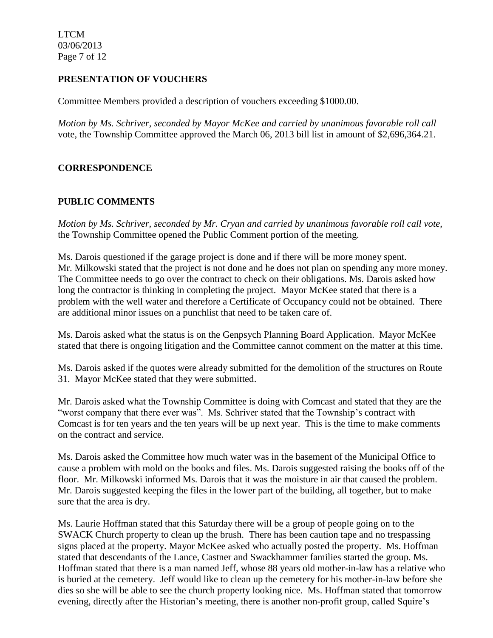LTCM 03/06/2013 Page 7 of 12

## **PRESENTATION OF VOUCHERS**

Committee Members provided a description of vouchers exceeding \$1000.00.

*Motion by Ms. Schriver, seconded by Mayor McKee and carried by unanimous favorable roll call*  vote, the Township Committee approved the March 06, 2013 bill list in amount of \$2,696,364.21.

# **CORRESPONDENCE**

# **PUBLIC COMMENTS**

*Motion by Ms. Schriver, seconded by Mr. Cryan and carried by unanimous favorable roll call vote*, the Township Committee opened the Public Comment portion of the meeting.

Ms. Darois questioned if the garage project is done and if there will be more money spent. Mr. Milkowski stated that the project is not done and he does not plan on spending any more money. The Committee needs to go over the contract to check on their obligations. Ms. Darois asked how long the contractor is thinking in completing the project. Mayor McKee stated that there is a problem with the well water and therefore a Certificate of Occupancy could not be obtained. There are additional minor issues on a punchlist that need to be taken care of.

Ms. Darois asked what the status is on the Genpsych Planning Board Application. Mayor McKee stated that there is ongoing litigation and the Committee cannot comment on the matter at this time.

Ms. Darois asked if the quotes were already submitted for the demolition of the structures on Route 31. Mayor McKee stated that they were submitted.

Mr. Darois asked what the Township Committee is doing with Comcast and stated that they are the "worst company that there ever was". Ms. Schriver stated that the Township's contract with Comcast is for ten years and the ten years will be up next year. This is the time to make comments on the contract and service.

Ms. Darois asked the Committee how much water was in the basement of the Municipal Office to cause a problem with mold on the books and files. Ms. Darois suggested raising the books off of the floor. Mr. Milkowski informed Ms. Darois that it was the moisture in air that caused the problem. Mr. Darois suggested keeping the files in the lower part of the building, all together, but to make sure that the area is dry.

Ms. Laurie Hoffman stated that this Saturday there will be a group of people going on to the SWACK Church property to clean up the brush. There has been caution tape and no trespassing signs placed at the property. Mayor McKee asked who actually posted the property. Ms. Hoffman stated that descendants of the Lance, Castner and Swackhammer families started the group. Ms. Hoffman stated that there is a man named Jeff, whose 88 years old mother-in-law has a relative who is buried at the cemetery. Jeff would like to clean up the cemetery for his mother-in-law before she dies so she will be able to see the church property looking nice. Ms. Hoffman stated that tomorrow evening, directly after the Historian's meeting, there is another non-profit group, called Squire's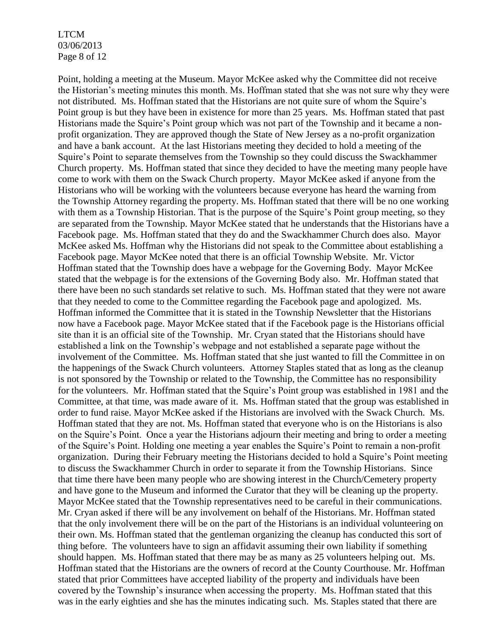LTCM 03/06/2013 Page 8 of 12

Point, holding a meeting at the Museum. Mayor McKee asked why the Committee did not receive the Historian's meeting minutes this month. Ms. Hoffman stated that she was not sure why they were not distributed. Ms. Hoffman stated that the Historians are not quite sure of whom the Squire's Point group is but they have been in existence for more than 25 years. Ms. Hoffman stated that past Historians made the Squire's Point group which was not part of the Township and it became a nonprofit organization. They are approved though the State of New Jersey as a no-profit organization and have a bank account. At the last Historians meeting they decided to hold a meeting of the Squire's Point to separate themselves from the Township so they could discuss the Swackhammer Church property. Ms. Hoffman stated that since they decided to have the meeting many people have come to work with them on the Swack Church property. Mayor McKee asked if anyone from the Historians who will be working with the volunteers because everyone has heard the warning from the Township Attorney regarding the property. Ms. Hoffman stated that there will be no one working with them as a Township Historian. That is the purpose of the Squire's Point group meeting, so they are separated from the Township. Mayor McKee stated that he understands that the Historians have a Facebook page. Ms. Hoffman stated that they do and the Swackhammer Church does also. Mayor McKee asked Ms. Hoffman why the Historians did not speak to the Committee about establishing a Facebook page. Mayor McKee noted that there is an official Township Website. Mr. Victor Hoffman stated that the Township does have a webpage for the Governing Body. Mayor McKee stated that the webpage is for the extensions of the Governing Body also. Mr. Hoffman stated that there have been no such standards set relative to such. Ms. Hoffman stated that they were not aware that they needed to come to the Committee regarding the Facebook page and apologized. Ms. Hoffman informed the Committee that it is stated in the Township Newsletter that the Historians now have a Facebook page. Mayor McKee stated that if the Facebook page is the Historians official site than it is an official site of the Township. Mr. Cryan stated that the Historians should have established a link on the Township's webpage and not established a separate page without the involvement of the Committee. Ms. Hoffman stated that she just wanted to fill the Committee in on the happenings of the Swack Church volunteers. Attorney Staples stated that as long as the cleanup is not sponsored by the Township or related to the Township, the Committee has no responsibility for the volunteers. Mr. Hoffman stated that the Squire's Point group was established in 1981 and the Committee, at that time, was made aware of it. Ms. Hoffman stated that the group was established in order to fund raise. Mayor McKee asked if the Historians are involved with the Swack Church. Ms. Hoffman stated that they are not. Ms. Hoffman stated that everyone who is on the Historians is also on the Squire's Point. Once a year the Historians adjourn their meeting and bring to order a meeting of the Squire's Point. Holding one meeting a year enables the Squire's Point to remain a non-profit organization. During their February meeting the Historians decided to hold a Squire's Point meeting to discuss the Swackhammer Church in order to separate it from the Township Historians. Since that time there have been many people who are showing interest in the Church/Cemetery property and have gone to the Museum and informed the Curator that they will be cleaning up the property. Mayor McKee stated that the Township representatives need to be careful in their communications. Mr. Cryan asked if there will be any involvement on behalf of the Historians. Mr. Hoffman stated that the only involvement there will be on the part of the Historians is an individual volunteering on their own. Ms. Hoffman stated that the gentleman organizing the cleanup has conducted this sort of thing before. The volunteers have to sign an affidavit assuming their own liability if something should happen. Ms. Hoffman stated that there may be as many as 25 volunteers helping out. Ms. Hoffman stated that the Historians are the owners of record at the County Courthouse. Mr. Hoffman stated that prior Committees have accepted liability of the property and individuals have been covered by the Township's insurance when accessing the property. Ms. Hoffman stated that this was in the early eighties and she has the minutes indicating such. Ms. Staples stated that there are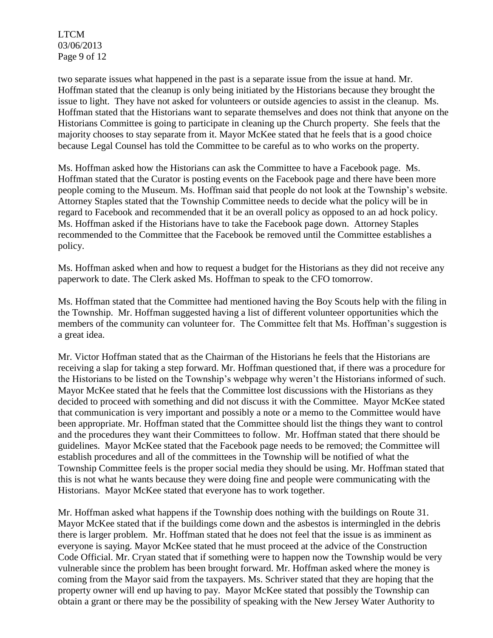LTCM 03/06/2013 Page 9 of 12

two separate issues what happened in the past is a separate issue from the issue at hand. Mr. Hoffman stated that the cleanup is only being initiated by the Historians because they brought the issue to light. They have not asked for volunteers or outside agencies to assist in the cleanup. Ms. Hoffman stated that the Historians want to separate themselves and does not think that anyone on the Historians Committee is going to participate in cleaning up the Church property. She feels that the majority chooses to stay separate from it. Mayor McKee stated that he feels that is a good choice because Legal Counsel has told the Committee to be careful as to who works on the property.

Ms. Hoffman asked how the Historians can ask the Committee to have a Facebook page. Ms. Hoffman stated that the Curator is posting events on the Facebook page and there have been more people coming to the Museum. Ms. Hoffman said that people do not look at the Township's website. Attorney Staples stated that the Township Committee needs to decide what the policy will be in regard to Facebook and recommended that it be an overall policy as opposed to an ad hock policy. Ms. Hoffman asked if the Historians have to take the Facebook page down. Attorney Staples recommended to the Committee that the Facebook be removed until the Committee establishes a policy.

Ms. Hoffman asked when and how to request a budget for the Historians as they did not receive any paperwork to date. The Clerk asked Ms. Hoffman to speak to the CFO tomorrow.

Ms. Hoffman stated that the Committee had mentioned having the Boy Scouts help with the filing in the Township. Mr. Hoffman suggested having a list of different volunteer opportunities which the members of the community can volunteer for. The Committee felt that Ms. Hoffman's suggestion is a great idea.

Mr. Victor Hoffman stated that as the Chairman of the Historians he feels that the Historians are receiving a slap for taking a step forward. Mr. Hoffman questioned that, if there was a procedure for the Historians to be listed on the Township's webpage why weren't the Historians informed of such. Mayor McKee stated that he feels that the Committee lost discussions with the Historians as they decided to proceed with something and did not discuss it with the Committee. Mayor McKee stated that communication is very important and possibly a note or a memo to the Committee would have been appropriate. Mr. Hoffman stated that the Committee should list the things they want to control and the procedures they want their Committees to follow. Mr. Hoffman stated that there should be guidelines. Mayor McKee stated that the Facebook page needs to be removed; the Committee will establish procedures and all of the committees in the Township will be notified of what the Township Committee feels is the proper social media they should be using. Mr. Hoffman stated that this is not what he wants because they were doing fine and people were communicating with the Historians. Mayor McKee stated that everyone has to work together.

Mr. Hoffman asked what happens if the Township does nothing with the buildings on Route 31. Mayor McKee stated that if the buildings come down and the asbestos is intermingled in the debris there is larger problem. Mr. Hoffman stated that he does not feel that the issue is as imminent as everyone is saying. Mayor McKee stated that he must proceed at the advice of the Construction Code Official. Mr. Cryan stated that if something were to happen now the Township would be very vulnerable since the problem has been brought forward. Mr. Hoffman asked where the money is coming from the Mayor said from the taxpayers. Ms. Schriver stated that they are hoping that the property owner will end up having to pay. Mayor McKee stated that possibly the Township can obtain a grant or there may be the possibility of speaking with the New Jersey Water Authority to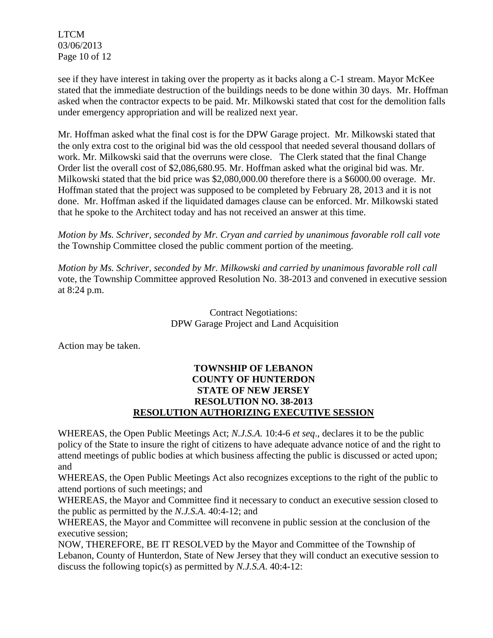LTCM 03/06/2013 Page 10 of 12

see if they have interest in taking over the property as it backs along a C-1 stream. Mayor McKee stated that the immediate destruction of the buildings needs to be done within 30 days. Mr. Hoffman asked when the contractor expects to be paid. Mr. Milkowski stated that cost for the demolition falls under emergency appropriation and will be realized next year.

Mr. Hoffman asked what the final cost is for the DPW Garage project. Mr. Milkowski stated that the only extra cost to the original bid was the old cesspool that needed several thousand dollars of work. Mr. Milkowski said that the overruns were close. The Clerk stated that the final Change Order list the overall cost of \$2,086,680.95. Mr. Hoffman asked what the original bid was. Mr. Milkowski stated that the bid price was \$2,080,000.00 therefore there is a \$6000.00 overage. Mr. Hoffman stated that the project was supposed to be completed by February 28, 2013 and it is not done. Mr. Hoffman asked if the liquidated damages clause can be enforced. Mr. Milkowski stated that he spoke to the Architect today and has not received an answer at this time.

*Motion by Ms. Schriver, seconded by Mr. Cryan and carried by unanimous favorable roll call vote* the Township Committee closed the public comment portion of the meeting.

*Motion by Ms. Schriver, seconded by Mr. Milkowski and carried by unanimous favorable roll call*  vote, the Township Committee approved Resolution No. 38-2013 and convened in executive session at 8:24 p.m.

> Contract Negotiations: DPW Garage Project and Land Acquisition

Action may be taken.

## **TOWNSHIP OF LEBANON COUNTY OF HUNTERDON STATE OF NEW JERSEY RESOLUTION NO. 38-2013 RESOLUTION AUTHORIZING EXECUTIVE SESSION**

WHEREAS, the Open Public Meetings Act; *N.J.S.A.* 10:4-6 *et seq*., declares it to be the public policy of the State to insure the right of citizens to have adequate advance notice of and the right to attend meetings of public bodies at which business affecting the public is discussed or acted upon; and

WHEREAS, the Open Public Meetings Act also recognizes exceptions to the right of the public to attend portions of such meetings; and

WHEREAS, the Mayor and Committee find it necessary to conduct an executive session closed to the public as permitted by the *N.J.S.A*. 40:4-12; and

WHEREAS, the Mayor and Committee will reconvene in public session at the conclusion of the executive session;

NOW, THEREFORE, BE IT RESOLVED by the Mayor and Committee of the Township of Lebanon, County of Hunterdon, State of New Jersey that they will conduct an executive session to discuss the following topic(s) as permitted by *N.J.S.A*. 40:4-12: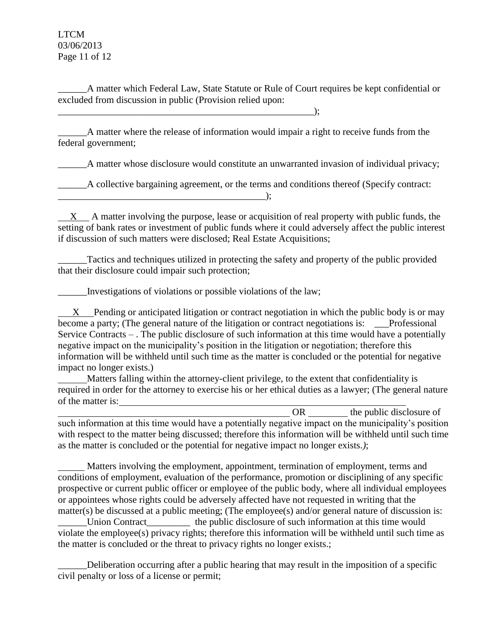LTCM 03/06/2013 Page 11 of 12

A matter which Federal Law, State Statute or Rule of Court requires be kept confidential or excluded from discussion in public (Provision relied upon:

\_\_\_\_\_\_A matter where the release of information would impair a right to receive funds from the federal government;

A matter whose disclosure would constitute an unwarranted invasion of individual privacy;

A collective bargaining agreement, or the terms and conditions thereof (Specify contract:

 $X$  A matter involving the purpose, lease or acquisition of real property with public funds, the setting of bank rates or investment of public funds where it could adversely affect the public interest if discussion of such matters were disclosed; Real Estate Acquisitions;

\_\_\_\_\_\_Tactics and techniques utilized in protecting the safety and property of the public provided that their disclosure could impair such protection;

\_\_\_\_\_\_Investigations of violations or possible violations of the law;

 $\qquad \qquad ; \qquad$ 

 $\qquad \qquad )$ ;

 X Pending or anticipated litigation or contract negotiation in which the public body is or may become a party; (The general nature of the litigation or contract negotiations is: Professional Service Contracts – . The public disclosure of such information at this time would have a potentially negative impact on the municipality's position in the litigation or negotiation; therefore this information will be withheld until such time as the matter is concluded or the potential for negative impact no longer exists.)

 Matters falling within the attorney-client privilege, to the extent that confidentiality is required in order for the attorney to exercise his or her ethical duties as a lawyer; (The general nature of the matter is:

OR the public disclosure of such information at this time would have a potentially negative impact on the municipality's position with respect to the matter being discussed; therefore this information will be withheld until such time as the matter is concluded or the potential for negative impact no longer exists.*)*;

 Matters involving the employment, appointment, termination of employment, terms and conditions of employment, evaluation of the performance, promotion or disciplining of any specific prospective or current public officer or employee of the public body, where all individual employees or appointees whose rights could be adversely affected have not requested in writing that the matter(s) be discussed at a public meeting; (The employee(s) and/or general nature of discussion is:

\_\_\_\_\_\_Union Contract\_\_\_\_\_\_\_\_\_ the public disclosure of such information at this time would violate the employee(s) privacy rights; therefore this information will be withheld until such time as the matter is concluded or the threat to privacy rights no longer exists.;

\_\_\_\_\_\_Deliberation occurring after a public hearing that may result in the imposition of a specific civil penalty or loss of a license or permit;